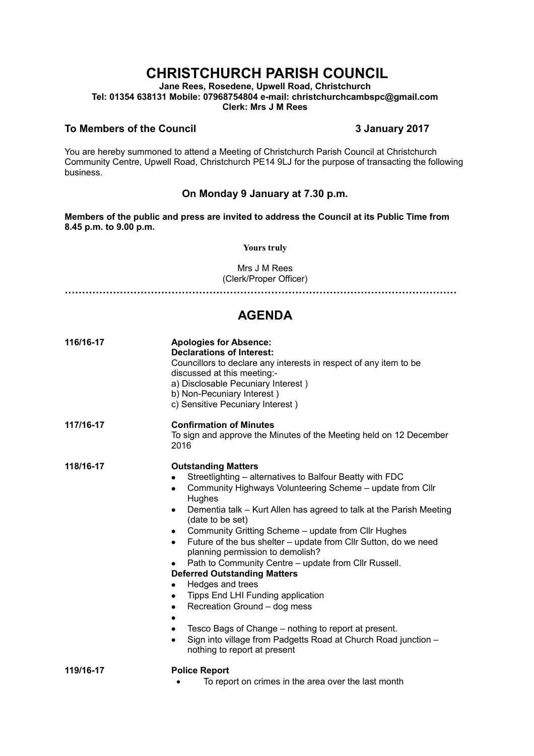# **CHRISTCHURCH PARISH COUNCIL**

**Jane Rees, Rosedene, Upwell Road, Christchurch Tel: 01354 638131 Mobile: 07968754804 e-mail: christchurchcambspc@gmail.com Clerk: Mrs J M Rees**

#### **To Members of the Council 3 January 2017**

You are hereby summoned to attend a Meeting of Christchurch Parish Council at Christchurch Community Centre, Upwell Road, Christchurch PE14 9LJ for the purpose of transacting the following business.

### **On Monday 9 January at 7.30 p.m.**

**Members of the public and press are invited to address the Council at its Public Time from 8.45 p.m. to 9.00 p.m.** 

#### **Yours truly**

Mrs J M Rees (Clerk/Proper Officer)

**……………………………………………………………………………………………………**

## **AGENDA**

| 116/16-17 | <b>Apologies for Absence:</b><br><b>Declarations of Interest:</b><br>Councillors to declare any interests in respect of any item to be<br>discussed at this meeting:-<br>a) Disclosable Pecuniary Interest)<br>b) Non-Pecuniary Interest)<br>c) Sensitive Pecuniary Interest)                                                                                                                                                                                                                                                                                                                                                                                                                                                                                                                                               |
|-----------|-----------------------------------------------------------------------------------------------------------------------------------------------------------------------------------------------------------------------------------------------------------------------------------------------------------------------------------------------------------------------------------------------------------------------------------------------------------------------------------------------------------------------------------------------------------------------------------------------------------------------------------------------------------------------------------------------------------------------------------------------------------------------------------------------------------------------------|
| 117/16-17 | <b>Confirmation of Minutes</b><br>To sign and approve the Minutes of the Meeting held on 12 December<br>2016                                                                                                                                                                                                                                                                                                                                                                                                                                                                                                                                                                                                                                                                                                                |
| 118/16-17 | <b>Outstanding Matters</b><br>Streetlighting – alternatives to Balfour Beatty with FDC<br>Community Highways Volunteering Scheme - update from Cllr<br>Hughes<br>Dementia talk – Kurt Allen has agreed to talk at the Parish Meeting<br>٠<br>(date to be set)<br>Community Gritting Scheme - update from Cllr Hughes<br>$\bullet$<br>Future of the bus shelter - update from Cllr Sutton, do we need<br>$\bullet$<br>planning permission to demolish?<br>Path to Community Centre - update from Cllr Russell.<br><b>Deferred Outstanding Matters</b><br>Hedges and trees<br>٠<br>Tipps End LHI Funding application<br>٠<br>Recreation Ground - dog mess<br>٠<br>Tesco Bags of Change – nothing to report at present.<br>Sign into village from Padgetts Road at Church Road junction -<br>٠<br>nothing to report at present |
| 119/16-17 | <b>Police Report</b>                                                                                                                                                                                                                                                                                                                                                                                                                                                                                                                                                                                                                                                                                                                                                                                                        |

• To report on crimes in the area over the last month